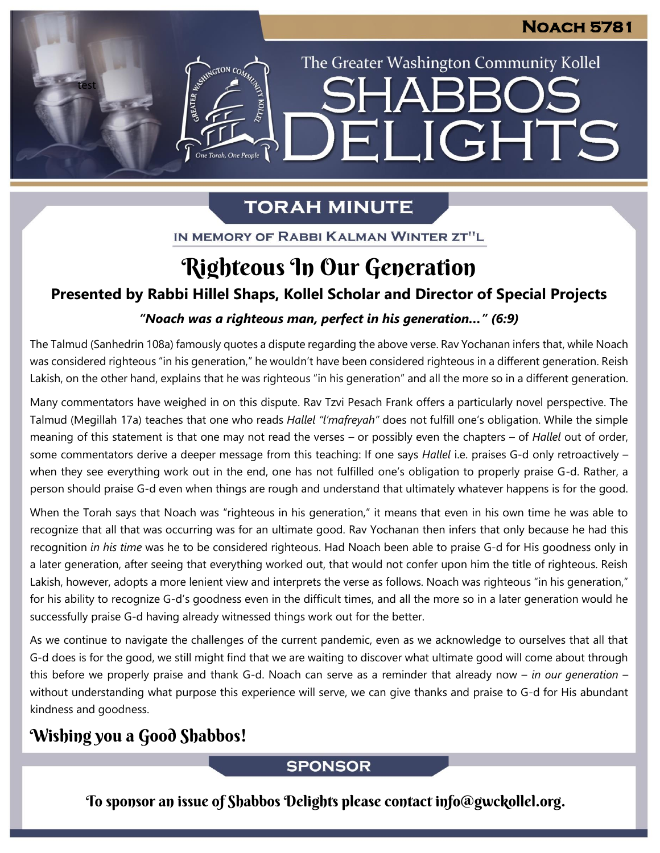## **Noach 5781**

The Greater Washington Community Kollel

ELIGHTS

# **TORAH MINUTE**

IN MEMORY OF RABBI KALMAN WINTER ZT"L

# Righteous In Our Generation

### **Presented by Rabbi Hillel Shaps, Kollel Scholar and Director of Special Projects**

## *"Noach was a righteous man, perfect in his generation…" (6:9)* **From our archives**

The Talmud (Sanhedrin 108a) famously quotes a dispute regarding the above verse. Rav Yochanan infers that, while Noach was considered righteous "in his generation," he wouldn't have been considered righteous in a different generation. Reish Lakish, on the other hand, explains that he was righteous "in his generation" and all the more so in a different generation.

Many commentators have weighed in on this dispute. Rav Tzvi Pesach Frank offers a particularly novel perspective. The Talmud (Megillah 17a) teaches that one who reads *Hallel "l'mafreyah"* does not fulfill one's obligation. While the simple meaning of this statement is that one may not read the verses – or possibly even the chapters – of *Hallel* out of order, some commentators derive a deeper message from this teaching: If one says *Hallel* i.e. praises G-d only retroactively – when they see everything work out in the end, one has not fulfilled one's obligation to properly praise G-d. Rather, a person should praise G-d even when things are rough and understand that ultimately whatever happens is for the good.

When the Torah says that Noach was "righteous in his generation," it means that even in his own time he was able to recognize that all that was occurring was for an ultimate good. Rav Yochanan then infers that only because he had this recognition *in his time* was he to be considered righteous. Had Noach been able to praise G-d for His goodness only in a later generation, after seeing that everything worked out, that would not confer upon him the title of righteous. Reish Lakish, however, adopts a more lenient view and interprets the verse as follows. Noach was righteous "in his generation," for his ability to recognize G-d's goodness even in the difficult times, and all the more so in a later generation would he successfully praise G-d having already witnessed things work out for the better.

As we continue to navigate the challenges of the current pandemic, even as we acknowledge to ourselves that all that G-d does is for the good, we still might find that we are waiting to discover what ultimate good will come about through this before we properly praise and thank G-d. Noach can serve as a reminder that already now – *in our generation* – without understanding what purpose this experience will serve, we can give thanks and praise to G-d for His abundant kindness and goodness.

## Wishing you a Good Shabbos!

test

**ANTERNATION CON** 

One Torah, One People

#### **SPONSOR**

To sponsor an issue of Shabbos Delights please contact info@gwckollel.org.